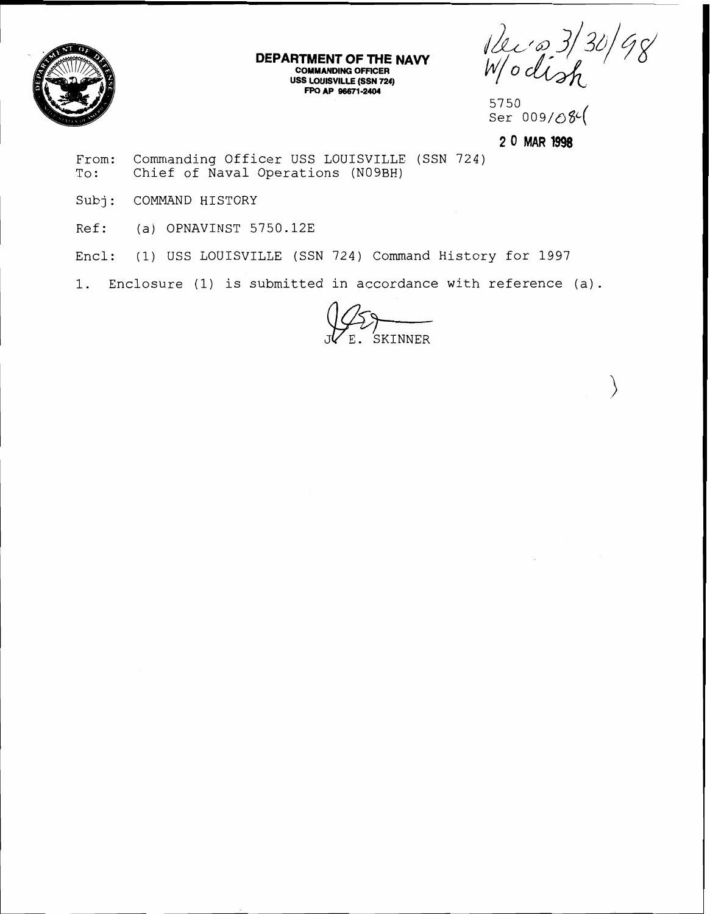

**DEPARTMENT OF THE NAVY COMMANDING OFflCER USS LOUISVILLE (SSN 724)**  FPO AP 96671-2404

Pec 0 3/30/98

5750  $S^{750}$ 009/084

**2 0 MAR 1%** 

- From: Commanding Officer USS LOUISVILLE (SSN 724)<br>To: Chief of Naval Operations (N09BH) Chief of Naval Operations (N09BH)
- Subj: COMMAND HISTORY
- Ref: (a) OPNAVINST 5750.12E
- Encl: (1) USS LOUISVILLE (SSN 724) Command History for 1997
- 1. Enclosure (1) is submitted in accordance with reference (a).

SKINNER<sup>.</sup>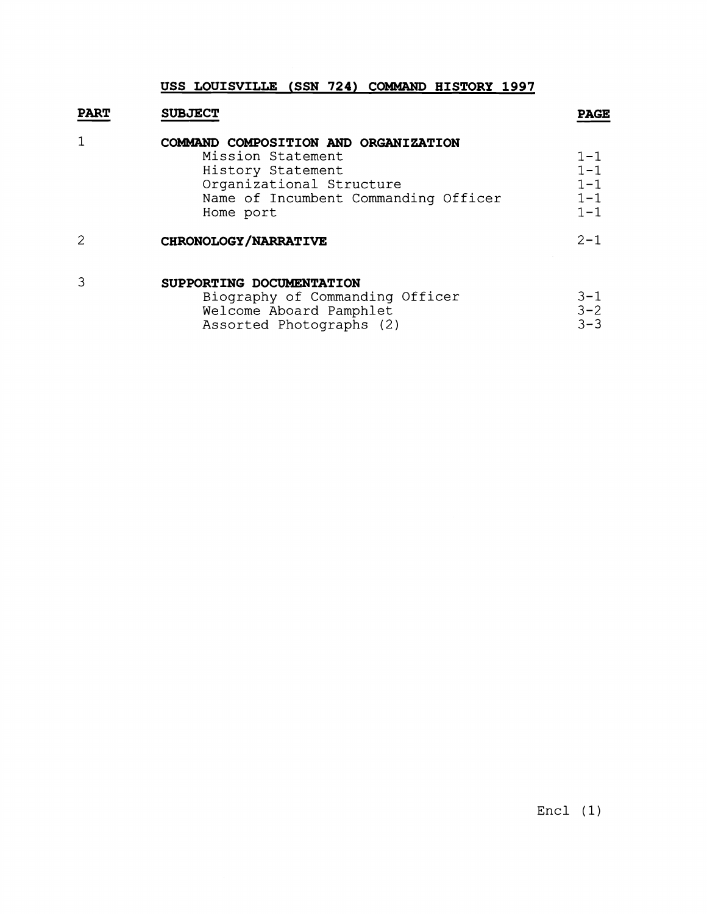# **USS LOUISVILLE (SSN 724) COMMAND HISTORY 1997**

|             | USS LOUISVILLE (SSN 724) COMMAND HISTORY 1997                                                                                                                   |                                                     |  |  |
|-------------|-----------------------------------------------------------------------------------------------------------------------------------------------------------------|-----------------------------------------------------|--|--|
| <b>PART</b> | <b>SUBJECT</b>                                                                                                                                                  | <b>PAGE</b>                                         |  |  |
| $\mathbf 1$ | COMMAND COMPOSITION AND ORGANIZATION<br>Mission Statement<br>History Statement<br>Organizational Structure<br>Name of Incumbent Commanding Officer<br>Home port | $1 - 1$<br>$1 - 1$<br>$1 - 1$<br>$1 - 1$<br>$1 - 1$ |  |  |
|             | <b>CHRONOLOGY/NARRATIVE</b>                                                                                                                                     | $2 - 1$                                             |  |  |
| 3           | SUPPORTING DOCUMENTATION<br>Biography of Commanding Officer<br>Welcome Aboard Pamphlet<br>Assorted Photographs (2)                                              | $3 - 1$<br>$3 - 2$<br>$3 - 3$                       |  |  |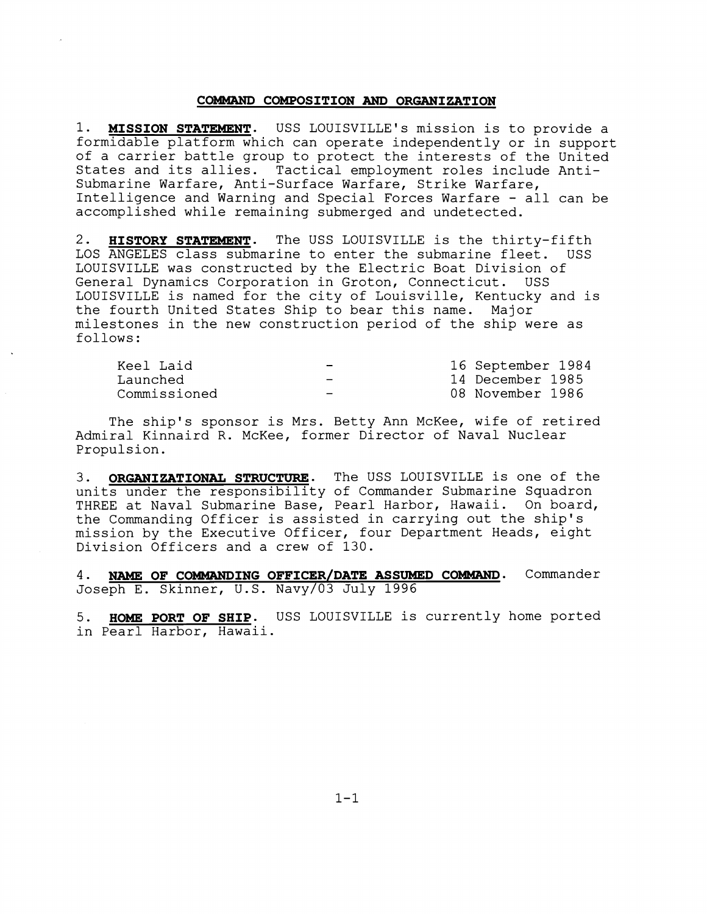## **COMMAND COMPOSITION AND ORGANIZATION**

1. **MISSION STATEMENT.** USS LOUISVILLE'S mission is to provide a formidable platform which can operate independently or in support of a carrier battle group to protect the interests of the United States and its allies. Tactical employment roles include Antisubmarine Warfare, Anti-Surface Warfare, Strike Warfare, Intelligence and Warning and Special Forces Warfare - all can be accomplished while remaining submerged and undetected.

2. **HISTORY STATEMENT.** The USS LOUISVILLE is the thirty-fifth LOS ANGELES class submarine to enter the submarine fleet. USS LOUISVILLE was constructed by the Electric Boat Division of General Dynamics Corporation in Groton, Connecticut. USS LOUISVILLE is named for the city of Louisville, Kentucky and is the fourth United States Ship to bear this name. Major milestones in the new construction period of the ship were as follows :

| Keel Laid    | $\overline{\phantom{a}}$ | 16 September 1984 |
|--------------|--------------------------|-------------------|
| Launched     |                          | 14 December 1985  |
| Commissioned | $\overline{\phantom{0}}$ | 08 November 1986  |

The ship's sponsor is Mrs. Betty Ann McKee, wife of retired Admiral Kinnaird R. McKee, former Director of Naval Nuclear Propulsion.

3. **ORGANIZATIONAL STRUCTURE.** The USS LOUISVILLE is one of the units under the responsibility of Commander Submarine Squadron THREE at Naval Submarine Base, Pearl Harbor, Hawaii. On board, the Commanding Officer is assisted in carrying out the ship's mission by the Executive Officer, four Department Heads, eight Division Officers and a crew of 130.

4. **NAME OF COMMANDING OFFICER/DATE ASSUMED COMMAND.** Commander Joseph E. Skinner, U.S. Navy/03 July 1996

**5. HOME PORT OF SHIP.** USS LOUISVILLE is currently home ported in Pearl Harbor, Hawaii.

 $1 - 1$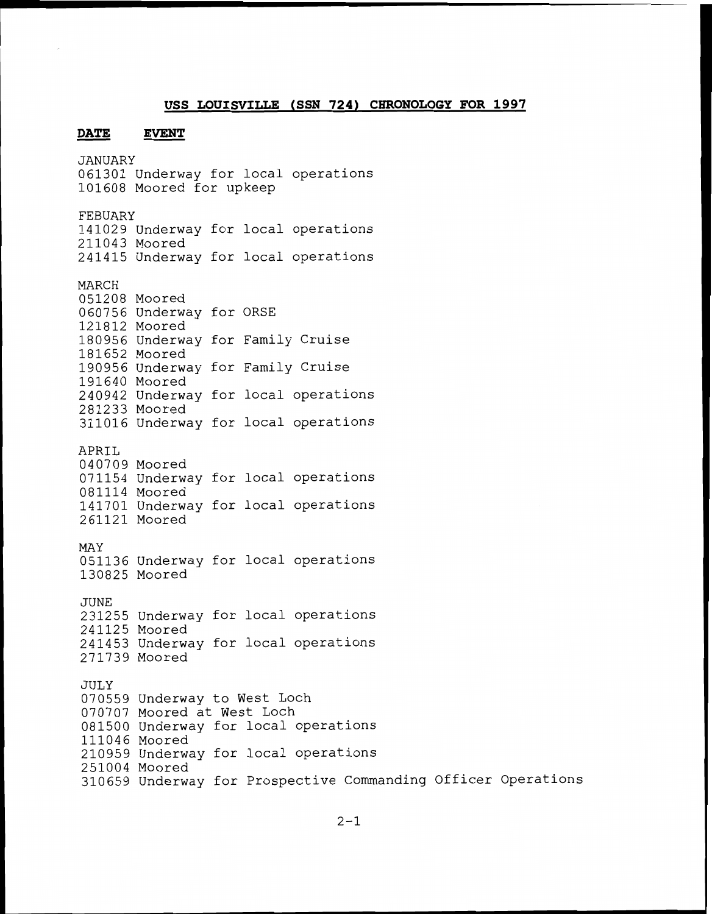# **USS LOUISVILLE (SSN 724) CHRONOLOGY FOR 1997**

# **DATE EVENT**<br>**EVENT**<br>TANUARY

JANUARY 061301 Underway for local operations 101608 Moored for upkeep FEBUARY 141029 Underway for local operations 211043 Moored 241415 Underway for local operations MARCH 051208 Moored 060756 Underway for ORSE 121812 Moored 180956 Underway for Family Cruise 181652 Moored 190956 Underway for Family Cruise 191640 Moored 240942 Underway for local operations 281233 Moored 311016 Underway for local operations APRIL 040709 Moored 071154 Underway for local operations 081114 Moored 141701 Underway for local operations 261121 Moored MAY 051136 Underway for local operations 130825 Moored JUNE 231255 Underway for local operations 241125 Moored 241453 Underway for local operations 271739 Moored JULY 070559 Underway to West Loch 070707 Moored at West Loch 081500 Underway for local operations 111046 Moored 210959 Underway for local operations 251004 Moored 310659 Underway for Prospective Commanding Officer Operations